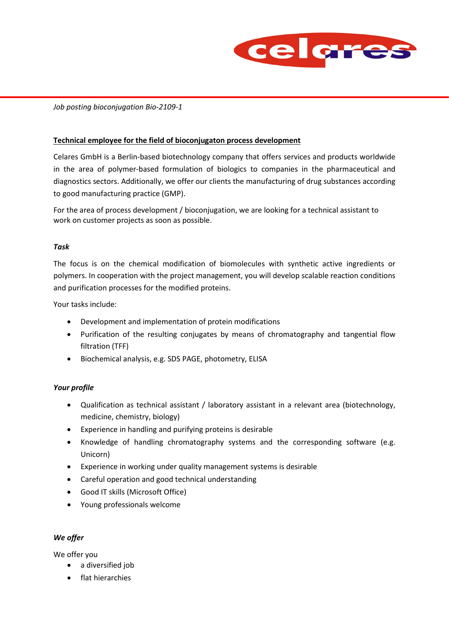

## *Job posting bioconjugation Bio-2109-1*

### **Technical employee for the field of bioconjugaton process development**

Celares GmbH is a Berlin-based biotechnology company that offers services and products worldwide in the area of polymer-based formulation of biologics to companies in the pharmaceutical and diagnostics sectors. Additionally, we offer our clients the manufacturing of drug substances according to good manufacturing practice (GMP).

For the area of process development / bioconjugation, we are looking for a technical assistant to work on customer projects as soon as possible.

#### *Task*

The focus is on the chemical modification of biomolecules with synthetic active ingredients or polymers. In cooperation with the project management, you will develop scalable reaction conditions and purification processes for the modified proteins.

Your tasks include:

- Development and implementation of protein modifications
- Purification of the resulting conjugates by means of chromatography and tangential flow filtration (TFF)
- Biochemical analysis, e.g. SDS PAGE, photometry, ELISA

#### *Your profile*

- Qualification as technical assistant / laboratory assistant in a relevant area (biotechnology, medicine, chemistry, biology)
- Experience in handling and purifying proteins is desirable
- Knowledge of handling chromatography systems and the corresponding software (e.g. Unicorn)
- Experience in working under quality management systems is desirable
- Careful operation and good technical understanding
- Good IT skills (Microsoft Office)
- Young professionals welcome

### *We offer*

We offer you

- a diversified job
- flat hierarchies